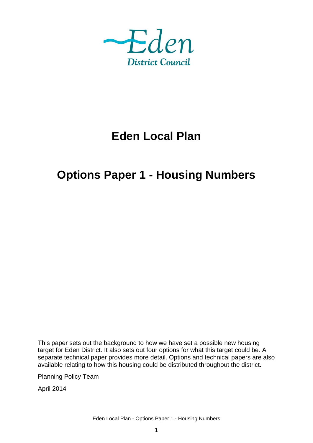

# **Eden Local Plan**

# **Options Paper 1 - Housing Numbers**

This paper sets out the background to how we have set a possible new housing target for Eden District. It also sets out four options for what this target could be. A separate technical paper provides more detail. Options and technical papers are also available relating to how this housing could be distributed throughout the district.

Planning Policy Team

April 2014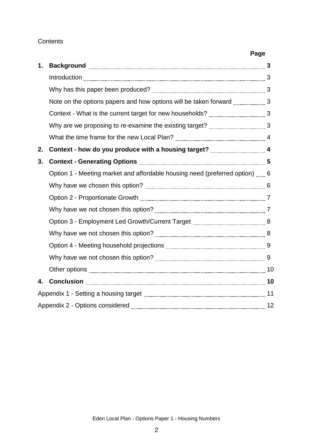## **Contents**

|    |                                                                             | Page |
|----|-----------------------------------------------------------------------------|------|
| 1. |                                                                             |      |
|    |                                                                             |      |
|    |                                                                             |      |
|    |                                                                             |      |
|    |                                                                             |      |
|    |                                                                             |      |
|    |                                                                             |      |
| 2. |                                                                             |      |
| 3. |                                                                             |      |
|    | Option 1 - Meeting market and affordable housing need (preferred option)  6 |      |
|    |                                                                             |      |
|    |                                                                             |      |
|    |                                                                             |      |
|    |                                                                             |      |
|    |                                                                             |      |
|    |                                                                             |      |
|    |                                                                             |      |
|    |                                                                             |      |
| 4. |                                                                             |      |
|    |                                                                             |      |
|    |                                                                             |      |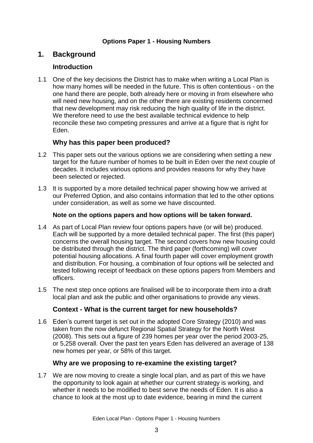### **Options Paper 1 - Housing Numbers**

# **1. Background**

## **Introduction**

1.1 One of the key decisions the District has to make when writing a Local Plan is how many homes will be needed in the future. This is often contentious - on the one hand there are people, both already here or moving in from elsewhere who will need new housing, and on the other there are existing residents concerned that new development may risk reducing the high quality of life in the district. We therefore need to use the best available technical evidence to help reconcile these two competing pressures and arrive at a figure that is right for Eden.

## **Why has this paper been produced?**

- 1.2 This paper sets out the various options we are considering when setting a new target for the future number of homes to be built in Eden over the next couple of decades. It includes various options and provides reasons for why they have been selected or rejected.
- 1.3 It is supported by a more detailed technical paper showing how we arrived at our Preferred Option, and also contains information that led to the other options under consideration, as well as some we have discounted.

### **Note on the options papers and how options will be taken forward.**

- 1.4 As part of Local Plan review four options papers have (or will be) produced. Each will be supported by a more detailed technical paper. The first (this paper) concerns the overall housing target. The second covers how new housing could be distributed through the district. The third paper (forthcoming) will cover potential housing allocations. A final fourth paper will cover employment growth and distribution. For housing, a combination of four options will be selected and tested following receipt of feedback on these options papers from Members and officers.
- 1.5 The next step once options are finalised will be to incorporate them into a draft local plan and ask the public and other organisations to provide any views.

### **Context - What is the current target for new households?**

1.6 Eden's current target is set out in the adopted Core Strategy (2010) and was taken from the now defunct Regional Spatial Strategy for the North West (2008). This sets out a figure of 239 homes per year over the period 2003-25, or 5,258 overall. Over the past ten years Eden has delivered an average of 138 new homes per year, or 58% of this target.

### **Why are we proposing to re-examine the existing target?**

1.7 We are now moving to create a single local plan, and as part of this we have the opportunity to look again at whether our current strategy is working, and whether it needs to be modified to best serve the needs of Eden. It is also a chance to look at the most up to date evidence, bearing in mind the current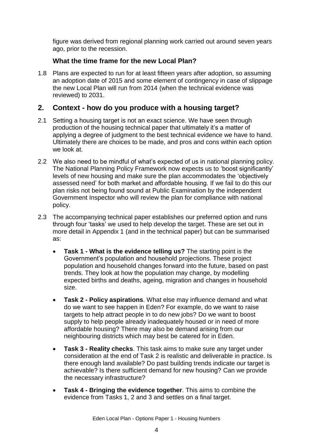figure was derived from regional planning work carried out around seven years ago, prior to the recession.

## **What the time frame for the new Local Plan?**

1.8 Plans are expected to run for at least fifteen years after adoption, so assuming an adoption date of 2015 and some element of contingency in case of slippage the new Local Plan will run from 2014 (when the technical evidence was reviewed) to 2031.

# **2. Context - how do you produce with a housing target?**

- 2.1 Setting a housing target is not an exact science. We have seen through production of the housing technical paper that ultimately it's a matter of applying a degree of judgment to the best technical evidence we have to hand. Ultimately there are choices to be made, and pros and cons within each option we look at.
- 2.2 We also need to be mindful of what's expected of us in national planning policy. The National Planning Policy Framework now expects us to 'boost significantly' levels of new housing and make sure the plan accommodates the 'objectively assessed need' for both market and affordable housing. If we fail to do this our plan risks not being found sound at Public Examination by the independent Government Inspector who will review the plan for compliance with national policy.
- 2.3 The accompanying technical paper establishes our preferred option and runs through four 'tasks' we used to help develop the target. These are set out in more detail in Appendix 1 (and in the technical paper) but can be summarised as:
	- **Task 1 - What is the evidence telling us?** The starting point is the Government's population and household projections. These project population and household changes forward into the future, based on past trends. They look at how the population may change, by modelling expected births and deaths, ageing, migration and changes in household size.
	- **Task 2 - Policy aspirations**. What else may influence demand and what do we want to see happen in Eden? For example, do we want to raise targets to help attract people in to do new jobs? Do we want to boost supply to help people already inadequately housed or in need of more affordable housing? There may also be demand arising from our neighbouring districts which may best be catered for in Eden.
	- **Task 3 - Reality checks**. This task aims to make sure any target under consideration at the end of Task 2 is realistic and deliverable in practice. Is there enough land available? Do past building trends indicate our target is achievable? Is there sufficient demand for new housing? Can we provide the necessary infrastructure?
	- **Task 4 - Bringing the evidence together**. This aims to combine the evidence from Tasks 1, 2 and 3 and settles on a final target.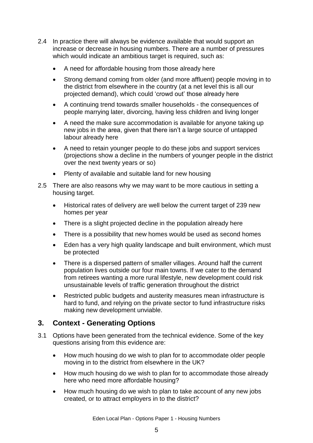- 2.4 In practice there will always be evidence available that would support an increase or decrease in housing numbers. There are a number of pressures which would indicate an ambitious target is required, such as:
	- A need for affordable housing from those already here
	- Strong demand coming from older (and more affluent) people moving in to the district from elsewhere in the country (at a net level this is all our projected demand), which could 'crowd out' those already here
	- A continuing trend towards smaller households the consequences of people marrying later, divorcing, having less children and living longer
	- A need the make sure accommodation is available for anyone taking up new jobs in the area, given that there isn't a large source of untapped labour already here
	- A need to retain younger people to do these jobs and support services (projections show a decline in the numbers of younger people in the district over the next twenty years or so)
	- Plenty of available and suitable land for new housing
- 2.5 There are also reasons why we may want to be more cautious in setting a housing target.
	- Historical rates of delivery are well below the current target of 239 new homes per year
	- There is a slight projected decline in the population already here
	- There is a possibility that new homes would be used as second homes
	- Eden has a very high quality landscape and built environment, which must be protected
	- There is a dispersed pattern of smaller villages. Around half the current population lives outside our four main towns. If we cater to the demand from retirees wanting a more rural lifestyle, new development could risk unsustainable levels of traffic generation throughout the district
	- Restricted public budgets and austerity measures mean infrastructure is hard to fund, and relying on the private sector to fund infrastructure risks making new development unviable.

# **3. Context - Generating Options**

- 3.1 Options have been generated from the technical evidence. Some of the key questions arising from this evidence are:
	- How much housing do we wish to plan for to accommodate older people moving in to the district from elsewhere in the UK?
	- How much housing do we wish to plan for to accommodate those already here who need more affordable housing?
	- How much housing do we wish to plan to take account of any new jobs created, or to attract employers in to the district?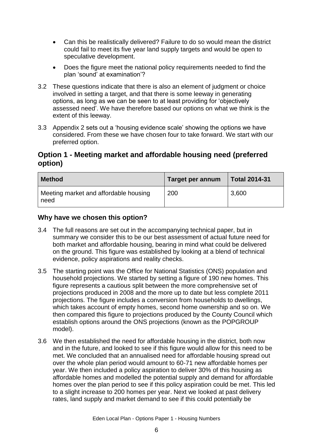- Can this be realistically delivered? Failure to do so would mean the district could fail to meet its five year land supply targets and would be open to speculative development.
- Does the figure meet the national policy requirements needed to find the plan 'sound' at examination'?
- 3.2 These questions indicate that there is also an element of judgment or choice involved in setting a target, and that there is some leeway in generating options, as long as we can be seen to at least providing for 'objectively assessed need'. We have therefore based our options on what we think is the extent of this leeway.
- 3.3 Appendix 2 sets out a 'housing evidence scale' showing the options we have considered. From these we have chosen four to take forward. We start with our preferred option.

# **Option 1 - Meeting market and affordable housing need (preferred option)**

| <b>Method</b>                                 | Target per annum | <b>Total 2014-31</b> |
|-----------------------------------------------|------------------|----------------------|
| Meeting market and affordable housing<br>need | 200              | 3,600                |

### **Why have we chosen this option?**

- 3.4 The full reasons are set out in the accompanying technical paper, but in summary we consider this to be our best assessment of actual future need for both market and affordable housing, bearing in mind what could be delivered on the ground. This figure was established by looking at a blend of technical evidence, policy aspirations and reality checks.
- 3.5 The starting point was the Office for National Statistics (ONS) population and household projections. We started by setting a figure of 190 new homes. This figure represents a cautious split between the more comprehensive set of projections produced in 2008 and the more up to date but less complete 2011 projections. The figure includes a conversion from households to dwellings, which takes account of empty homes, second home ownership and so on. We then compared this figure to projections produced by the County Council which establish options around the ONS projections (known as the POPGROUP model).
- 3.6 We then established the need for affordable housing in the district, both now and in the future, and looked to see if this figure would allow for this need to be met. We concluded that an annualised need for affordable housing spread out over the whole plan period would amount to 60-71 new affordable homes per year. We then included a policy aspiration to deliver 30% of this housing as affordable homes and modelled the potential supply and demand for affordable homes over the plan period to see if this policy aspiration could be met. This led to a slight increase to 200 homes per year. Next we looked at past delivery rates, land supply and market demand to see if this could potentially be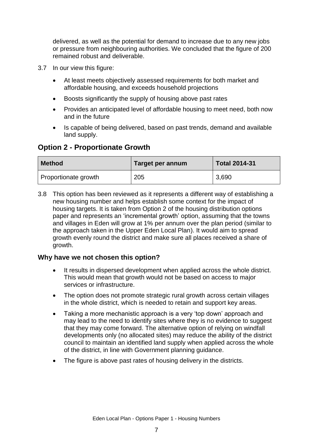delivered, as well as the potential for demand to increase due to any new jobs or pressure from neighbouring authorities. We concluded that the figure of 200 remained robust and deliverable.

- 3.7 In our view this figure:
	- At least meets objectively assessed requirements for both market and affordable housing, and exceeds household projections
	- Boosts significantly the supply of housing above past rates
	- Provides an anticipated level of affordable housing to meet need, both now and in the future
	- Is capable of being delivered, based on past trends, demand and available land supply.

## **Option 2 - Proportionate Growth**

| <b>Method</b>        | Target per annum | <b>Total 2014-31</b> |
|----------------------|------------------|----------------------|
| Proportionate growth | 205              | 3,690                |

3.8 This option has been reviewed as it represents a different way of establishing a new housing number and helps establish some context for the impact of housing targets. It is taken from Option 2 of the housing distribution options paper and represents an 'incremental growth' option, assuming that the towns and villages in Eden will grow at 1% per annum over the plan period (similar to the approach taken in the Upper Eden Local Plan). It would aim to spread growth evenly round the district and make sure all places received a share of growth.

#### **Why have we not chosen this option?**

- It results in dispersed development when applied across the whole district. This would mean that growth would not be based on access to major services or infrastructure.
- The option does not promote strategic rural growth across certain villages in the whole district, which is needed to retain and support key areas.
- Taking a more mechanistic approach is a very 'top down' approach and may lead to the need to identify sites where they is no evidence to suggest that they may come forward. The alternative option of relying on windfall developments only (no allocated sites) may reduce the ability of the district council to maintain an identified land supply when applied across the whole of the district, in line with Government planning guidance.
- The figure is above past rates of housing delivery in the districts.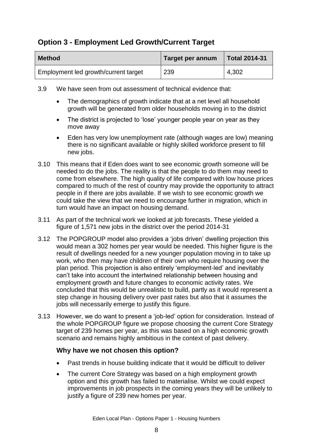# **Option 3 - Employment Led Growth/Current Target**

| <b>Method</b>                        | Target per annum | <b>Total 2014-31</b> |
|--------------------------------------|------------------|----------------------|
| Employment led growth/current target | 239              | 4,302                |

- 3.9 We have seen from out assessment of technical evidence that:
	- The demographics of growth indicate that at a net level all household growth will be generated from older households moving in to the district
	- The district is projected to 'lose' younger people year on year as they move away
	- Eden has very low unemployment rate (although wages are low) meaning there is no significant available or highly skilled workforce present to fill new jobs.
- 3.10 This means that if Eden does want to see economic growth someone will be needed to do the jobs. The reality is that the people to do them may need to come from elsewhere. The high quality of life compared with low house prices compared to much of the rest of country may provide the opportunity to attract people in if there are jobs available. If we wish to see economic growth we could take the view that we need to encourage further in migration, which in turn would have an impact on housing demand.
- 3.11 As part of the technical work we looked at job forecasts. These yielded a figure of 1,571 new jobs in the district over the period 2014-31
- 3.12 The POPGROUP model also provides a 'jobs driven' dwelling projection this would mean a 302 homes per year would be needed. This higher figure is the result of dwellings needed for a new younger population moving in to take up work, who then may have children of their own who require housing over the plan period. This projection is also entirely 'employment-led' and inevitably can't take into account the intertwined relationship between housing and employment growth and future changes to economic activity rates. We concluded that this would be unrealistic to build, partly as it would represent a step change in housing delivery over past rates but also that it assumes the jobs will necessarily emerge to justify this figure.
- 3.13 However, we do want to present a 'job-led' option for consideration. Instead of the whole POPGROUP figure we propose choosing the current Core Strategy target of 239 homes per year, as this was based on a high economic growth scenario and remains highly ambitious in the context of past delivery.

### **Why have we not chosen this option?**

- Past trends in house building indicate that it would be difficult to deliver
- The current Core Strategy was based on a high employment growth option and this growth has failed to materialise. Whilst we could expect improvements in job prospects in the coming years they will be unlikely to justify a figure of 239 new homes per year.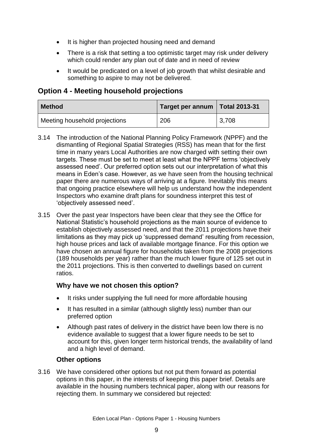- It is higher than projected housing need and demand
- There is a risk that setting a too optimistic target may risk under delivery which could render any plan out of date and in need of review
- It would be predicated on a level of job growth that whilst desirable and something to aspire to may not be delivered.

## **Option 4 - Meeting household projections**

| <b>Method</b>                 | Target per annum   Total 2013-31 |       |
|-------------------------------|----------------------------------|-------|
| Meeting household projections | 206                              | 3,708 |

- 3.14 The introduction of the National Planning Policy Framework (NPPF) and the dismantling of Regional Spatial Strategies (RSS) has mean that for the first time in many years Local Authorities are now charged with setting their own targets. These must be set to meet at least what the NPPF terms 'objectively assessed need'. Our preferred option sets out our interpretation of what this means in Eden's case. However, as we have seen from the housing technical paper there are numerous ways of arriving at a figure. Inevitably this means that ongoing practice elsewhere will help us understand how the independent Inspectors who examine draft plans for soundness interpret this test of 'objectively assessed need'.
- 3.15 Over the past year Inspectors have been clear that they see the Office for National Statistic's household projections as the main source of evidence to establish objectively assessed need, and that the 2011 projections have their limitations as they may pick up 'suppressed demand' resulting from recession, high house prices and lack of available mortgage finance. For this option we have chosen an annual figure for households taken from the 2008 projections (189 households per year) rather than the much lower figure of 125 set out in the 2011 projections. This is then converted to dwellings based on current ratios.

### **Why have we not chosen this option?**

- It risks under supplying the full need for more affordable housing
- It has resulted in a similar (although slightly less) number than our preferred option
- Although past rates of delivery in the district have been low there is no evidence available to suggest that a lower figure needs to be set to account for this, given longer term historical trends, the availability of land and a high level of demand.

#### **Other options**

3.16 We have considered other options but not put them forward as potential options in this paper, in the interests of keeping this paper brief. Details are available in the housing numbers technical paper, along with our reasons for rejecting them. In summary we considered but rejected: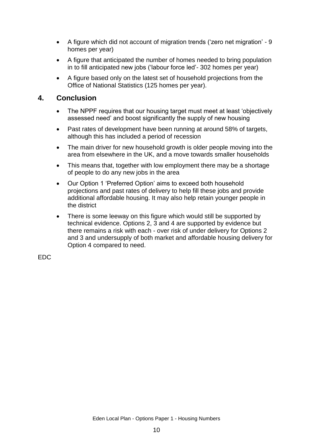- A figure which did not account of migration trends ('zero net migration' 9 homes per year)
- A figure that anticipated the number of homes needed to bring population in to fill anticipated new jobs ('labour force led'- 302 homes per year)
- A figure based only on the latest set of household projections from the Office of National Statistics (125 homes per year).

## **4. Conclusion**

- The NPPF requires that our housing target must meet at least 'objectively assessed need' and boost significantly the supply of new housing
- Past rates of development have been running at around 58% of targets, although this has included a period of recession
- The main driver for new household growth is older people moving into the area from elsewhere in the UK, and a move towards smaller households
- This means that, together with low employment there may be a shortage of people to do any new jobs in the area
- Our Option 1 'Preferred Option' aims to exceed both household projections and past rates of delivery to help fill these jobs and provide additional affordable housing. It may also help retain younger people in the district
- There is some leeway on this figure which would still be supported by technical evidence. Options 2, 3 and 4 are supported by evidence but there remains a risk with each - over risk of under delivery for Options 2 and 3 and undersupply of both market and affordable housing delivery for Option 4 compared to need.

EDC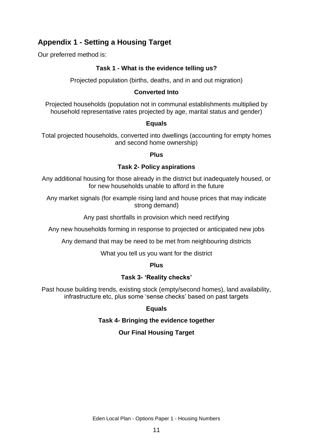# **Appendix 1 - Setting a Housing Target**

Our preferred method is:

#### **Task 1 - What is the evidence telling us?**

Projected population (births, deaths, and in and out migration)

#### **Converted Into**

Projected households (population not in communal establishments multiplied by household representative rates projected by age, marital status and gender)

#### **Equals**

Total projected households, converted into dwellings (accounting for empty homes and second home ownership)

#### **Plus**

#### **Task 2- Policy aspirations**

Any additional housing for those already in the district but inadequately housed, or for new households unable to afford in the future

Any market signals (for example rising land and house prices that may indicate strong demand)

Any past shortfalls in provision which need rectifying

Any new households forming in response to projected or anticipated new jobs

Any demand that may be need to be met from neighbouring districts

What you tell us you want for the district

#### **Plus**

#### **Task 3- 'Reality checks'**

Past house building trends, existing stock (empty/second homes), land availability, infrastructure etc, plus some 'sense checks' based on past targets

### **Equals**

#### **Task 4- Bringing the evidence together**

### **Our Final Housing Target**